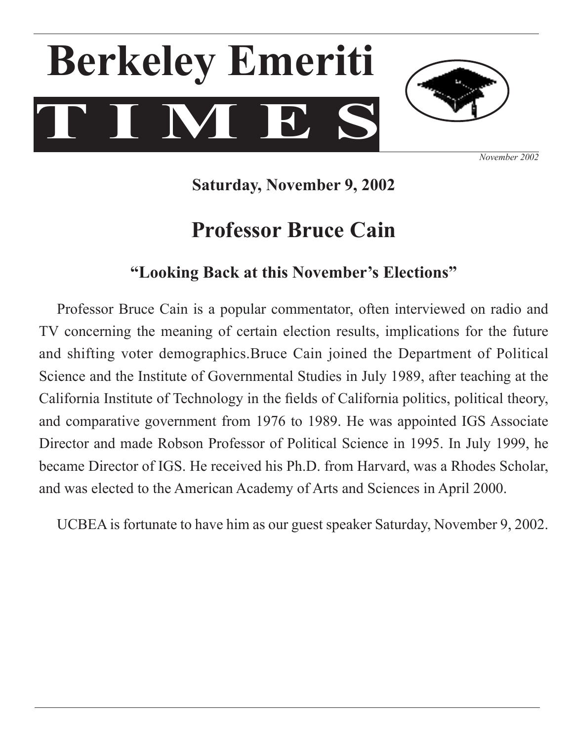# **T I M E S Berkeley Emeriti**



*November 2002*

**Saturday, November 9, 2002**

# **Professor Bruce Cain**

# **"Looking Back at this November's Elections"**

Professor Bruce Cain is a popular commentator, often interviewed on radio and TV concerning the meaning of certain election results, implications for the future and shifting voter demographics.Bruce Cain joined the Department of Political Science and the Institute of Governmental Studies in July 1989, after teaching at the California Institute of Technology in the fields of California politics, political theory, and comparative government from 1976 to 1989. He was appointed IGS Associate Director and made Robson Professor of Political Science in 1995. In July 1999, he became Director of IGS. He received his Ph.D. from Harvard, was a Rhodes Scholar, and was elected to the American Academy of Arts and Sciences in April 2000.

 UCBEA is fortunate to have him as our guest speaker Saturday, November 9, 2002.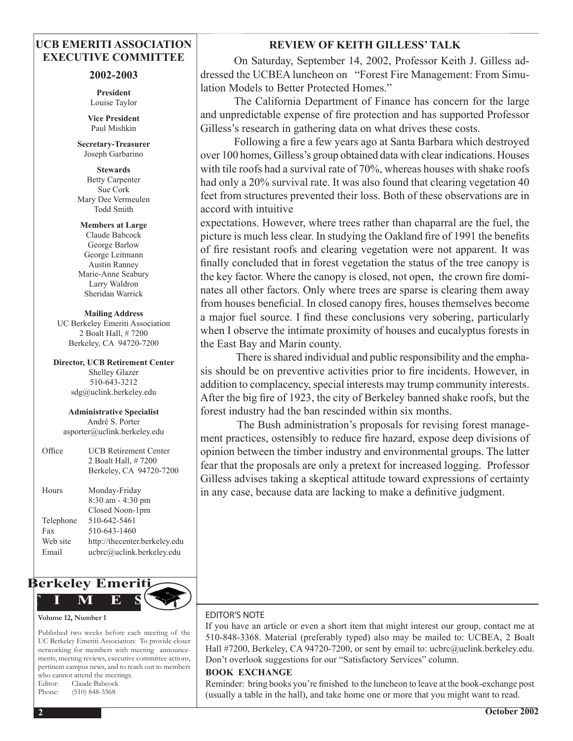#### **UCB EMERITI ASSOCIATION EXECUTIVE COMMITTEE**

#### **2002-2003**

**President** Louise Taylor

**Vice President** Paul Mishkin

**Secretary-Treasurer**  Joseph Garbarino

**Stewards** Betty Carpenter Sue Cork Mary Dee Vermeulen Todd Smith

**Members at Large** Claude Babcock George Barlow George Leitmann Austin Ranney Marie-Anne Seabury Larry Waldron Sheridan Warrick

**Mailing Address** UC Berkeley Emeriti Association 2 Boalt Hall, # 7200 Berkeley, CA 94720-7200

**Director, UCB Retirement Center** Shelley Glazer 510-643-3212 sdg@uclink.berkeley.edu

**Administrative Specialist** André S. Porter asporter@uclink.berkeley.edu

| Office    | <b>UCB Retirement Center</b><br>2 Boalt Hall, #7200<br>Berkeley, CA 94720-7200 |
|-----------|--------------------------------------------------------------------------------|
| Hours     | Monday-Friday<br>8:30 am - 4:30 pm<br>Closed Noon-1pm                          |
| Telephone | 510-642-5461                                                                   |
| Fax       | 510-643-1460                                                                   |
| Web site  | http://thecenter.berkeley.edu                                                  |
| Email     | ucbrc@uclink.berkeley.edu                                                      |
|           |                                                                                |



#### **Volume 12, Number 1**

Published two weeks before each meeting of the UC Berkeley Emeriti Association: To provide closer networking for members with meeting announcements, meeting reviews, executive committee actions, pertinent campus news, and to reach out to members who cannot attend the meetings. Editor: Claude Babcock Phone: (510) 848-3368

#### **REVIEW OF KEITH GILLESS' TALK**

 On Saturday, September 14, 2002, Professor Keith J. Gilless addressed the UCBEA luncheon on "Forest Fire Management: From Simulation Models to Better Protected Homes."

 The California Department of Finance has concern for the large and unpredictable expense of fire protection and has supported Professor Gilless's research in gathering data on what drives these costs.

Following a fire a few years ago at Santa Barbara which destroyed over 100 homes, Gilless's group obtained data with clearindications. Houses with tile roofs had a survival rate of 70%, whereas houses with shake roofs had only a 20% survival rate. It was also found that clearing vegetation 40 feet from structures prevented their loss. Both of these observations are in accord with intuitive

expectations. However, where trees rather than chaparral are the fuel, the picture is much less clear. In studying the Oakland fire of 1991 the benefits of fire resistant roofs and clearing vegetation were not apparent. It was finally concluded that in forest vegetation the status of the tree canopy is the key factor. Where the canopy is closed, not open, the crown fire dominates all other factors. Only where trees are sparse is clearing them away from houses beneficial. In closed canopy fires, houses themselves become a major fuel source. I find these conclusions very sobering, particularly when I observe the intimate proximity of houses and eucalyptus forests in the East Bay and Marin county.

There is shared individual and public responsibility and the emphasis should be on preventive activities prior to fire incidents. However, in addition to complacency, special interests may trump community interests. After the big fire of 1923, the city of Berkeley banned shake roofs, but the forest industry had the ban rescinded within six months.

The Bush administration's proposals for revising forest management practices, ostensibly to reduce fire hazard, expose deep divisions of opinion between the timber industry and environmental groups. The latter fear that the proposals are only a pretext for increased logging. Professor Gilless advises taking a skeptical attitude toward expressions of certainty in any case, because data are lacking to make a definitive judgment.

#### EDITOR'S NOTE

If you have an article or even a short item that might interest our group, contact me at 510-848-3368. Material (preferably typed) also may be mailed to: UCBEA, 2 Boalt Hall #7200, Berkeley, CA 94720-7200, or sent by email to: ucbrc@uclink.berkeley.edu. Don't overlook suggestions for our "Satisfactory Services" column.

#### **BOOK EXCHANGE**

Reminder: bring books you're finished to the luncheon to leave at the book-exchange post (usually a table in the hall), and take home one or more that you might want to read.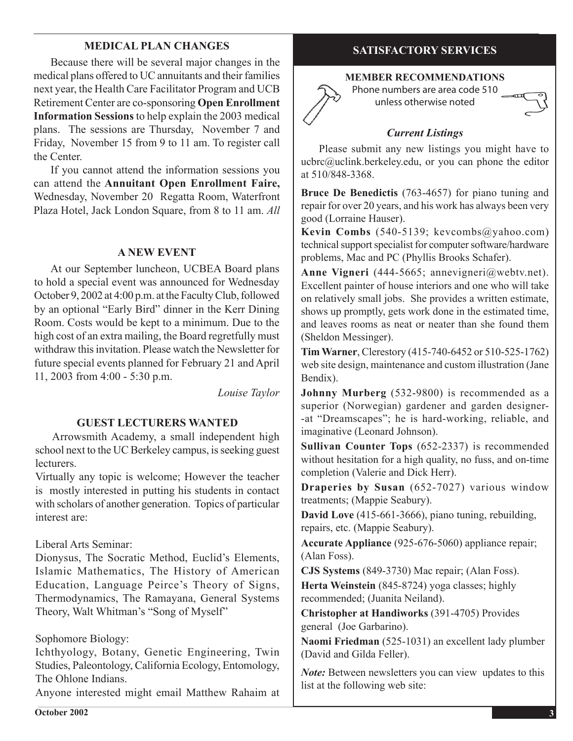# **MEDICAL PLAN CHANGES**

 Because there will be several major changes in the medical plans offered to UC annuitants and their families next year, the Health Care Facilitator Program and UCB Retirement Center are co-sponsoring **Open Enrollment Information Sessions** to help explain the 2003 medical plans. The sessions are Thursday, November 7 and Friday, November 15 from 9 to 11 am. To register call the Center.

 If you cannot attend the information sessions you can attend the **Annuitant Open Enrollment Faire,**  Wednesday, November 20 Regatta Room, Waterfront Plaza Hotel, Jack London Square, from 8 to 11 am. *All* 

#### **A NEW EVENT**

 At our September luncheon, UCBEA Board plans to hold a special event was announced for Wednesday October 9, 2002 at 4:00 p.m. at the Faculty Club, followed by an optional "Early Bird" dinner in the Kerr Dining Room. Costs would be kept to a minimum. Due to the high cost of an extra mailing, the Board regretfully must withdraw this invitation. Please watch the Newsletter for future special events planned for February 21 and April 11, 2003 from 4:00 - 5:30 p.m.

*Louise Taylor*

#### **GUEST LECTURERS WANTED**

 Arrowsmith Academy, a small independent high school next to the UC Berkeley campus, is seeking guest lecturers.

Virtually any topic is welcome; However the teacher is mostly interested in putting his students in contact with scholars of another generation. Topics of particular interest are:

#### Liberal Arts Seminar:

Dionysus, The Socratic Method, Euclid's Elements, Islamic Mathematics, The History of American Education, Language Peirce's Theory of Signs, Thermodynamics, The Ramayana, General Systems Theory, Walt Whitman's "Song of Myself"

### Sophomore Biology:

Ichthyology, Botany, Genetic Engineering, Twin Studies, Paleontology, California Ecology, Entomology, The Ohlone Indians.

Anyone interested might email Matthew Rahaim at

## **SATISFACTORY SERVICES**

#### **MEMBER RECOMMENDATIONS**

Phone numbers are area code 510 unless otherwise noted

## *Current Listings*

Please submit any new listings you might have to ucbrc@uclink.berkeley.edu, or you can phone the editor at 510/848-3368.

**Bruce De Benedictis** (763-4657) for piano tuning and repair for over 20 years, and his work has always been very good (Lorraine Hauser).

**Kevin Combs** (540-5139; kevcombs@yahoo.com) technical support specialist for computer software/hardware problems, Mac and PC (Phyllis Brooks Schafer).

**Anne Vigneri** (444-5665; annevigneri@webtv.net). Excellent painter of house interiors and one who will take on relatively small jobs. She provides a written estimate, shows up promptly, gets work done in the estimated time, and leaves rooms as neat or neater than she found them (Sheldon Messinger).

**Tim Warner**, Clerestory (415-740-6452 or 510-525-1762) web site design, maintenance and custom illustration (Jane Bendix).

**Johnny Murberg** (532-9800) is recommended as a superior (Norwegian) gardener and garden designer- -at "Dreamscapes"; he is hard-working, reliable, and imaginative (Leonard Johnson).

**Sullivan Counter Tops** (652-2337) is recommended without hesitation for a high quality, no fuss, and on-time completion (Valerie and Dick Herr).

**Draperies by Susan** (652-7027) various window treatments; (Mappie Seabury).

**David Love** (415-661-3666), piano tuning, rebuilding, repairs, etc. (Mappie Seabury).

**Accurate Appliance** (925-676-5060) appliance repair; (Alan Foss).

**CJS Systems** (849-3730) Mac repair; (Alan Foss).

**Herta Weinstein** (845-8724) yoga classes; highly recommended; (Juanita Neiland).

**Christopher at Handiworks** (391-4705) Provides general(Joe Garbarino).

**Naomi Friedman** (525-1031) an excellent lady plumber (David and Gilda Feller).

*Note:* Between newsletters you can view updates to this list at the following web site: